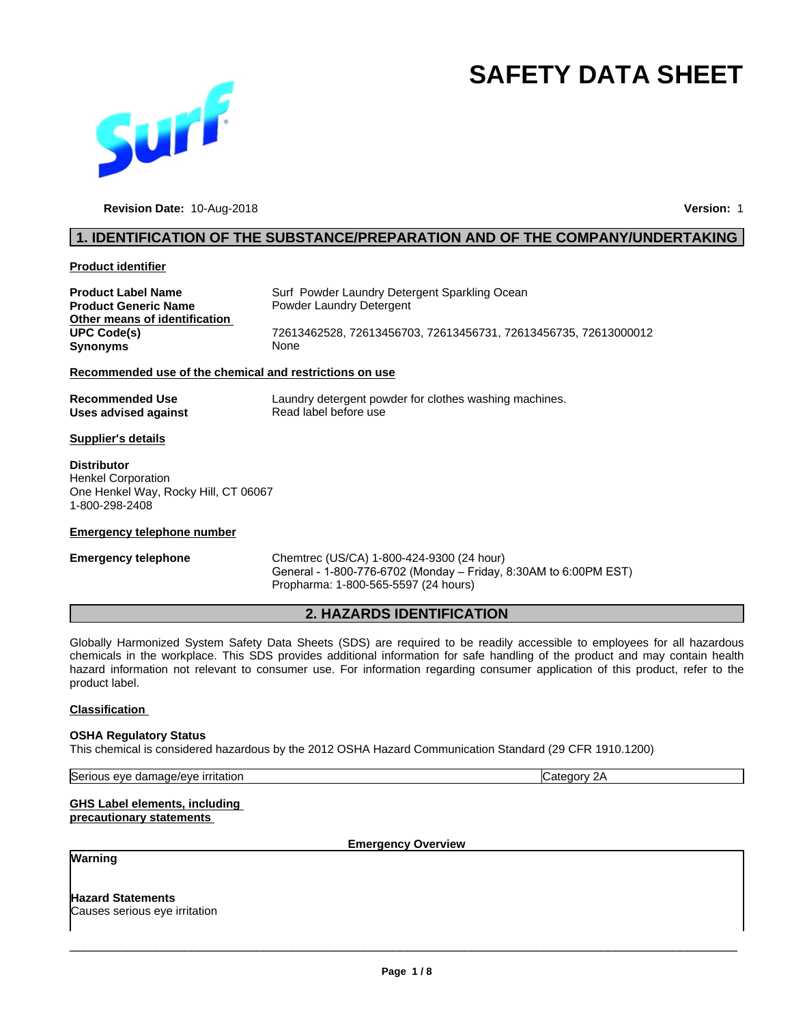# **SAFETY DATA SHEET**



**Revision Date:** 10-Aug-2018 **Version:** 1

#### **1. IDENTIFICATION OF THE SUBSTANCE/PREPARATION AND OF THE COMPANY/UNDERTAKING**

#### **Product identifier**

| Product Label Name                                      | Surf Powder Laundry Detergent Sparkling Ocean                   |  |
|---------------------------------------------------------|-----------------------------------------------------------------|--|
| <b>Product Generic Name</b>                             | Powder Laundry Detergent                                        |  |
| Other means of identification                           |                                                                 |  |
| UPC Code(s)                                             | 72613462528, 72613456703, 72613456731, 72613456735, 72613000012 |  |
| Synonyms                                                | <b>None</b>                                                     |  |
| Recommended use of the chemical and restrictions on use |                                                                 |  |

**Recommended Use** Laundry detergent powder for clothes washing machines.<br> **Uses advised against** Read label before use

# **Uses advised against Supplier's details**

**Distributor** Henkel Corporation One Henkel Way, Rocky Hill, CT 06067 1-800-298-2408

#### **Emergency telephone number**

**Emergency telephone** Chemtrec (US/CA) 1-800-424-9300 (24 hour) General - 1-800-776-6702 (Monday – Friday, 8:30AM to 6:00PM EST) Propharma: 1-800-565-5597 (24 hours)

#### **2. HAZARDS IDENTIFICATION**

Globally Harmonized System Safety Data Sheets (SDS) are required to be readily accessible to employees for all hazardous chemicals in the workplace.This SDS provides additional information for safe handling of the product and may contain health hazard information not relevant to consumer use. For information regarding consumer application of this product, refer to the product label.

#### **Classification**

#### **OSHA Regulatory Status**

This chemical is considered hazardous by the 2012 OSHA Hazard Communication Standard (29 CFR 1910.1200)

Serious eye damage/eye irritation Category 2A

#### **GHS Label elements, including precautionary statements**

**Emergency Overview**

#### **Warning**

**Hazard Statements** Causes serious eye irritation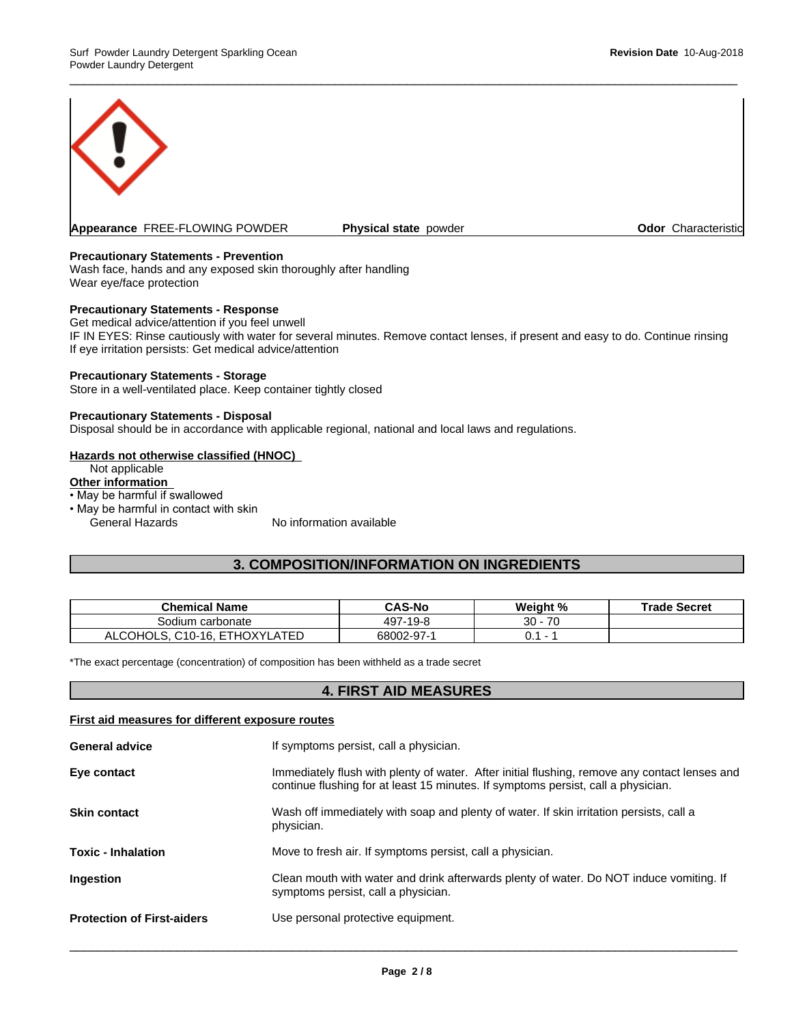

#### **Precautionary Statements - Prevention**

Wash face, hands and any exposed skin thoroughly after handling Wear eye/face protection

#### **Precautionary Statements - Response**

Get medical advice/attention if you feel unwell IF IN EYES: Rinse cautiously with water for several minutes. Remove contact lenses, if present and easy to do. Continue rinsing If eye irritation persists: Get medical advice/attention

 $\overline{\phantom{a}}$  ,  $\overline{\phantom{a}}$  ,  $\overline{\phantom{a}}$  ,  $\overline{\phantom{a}}$  ,  $\overline{\phantom{a}}$  ,  $\overline{\phantom{a}}$  ,  $\overline{\phantom{a}}$  ,  $\overline{\phantom{a}}$  ,  $\overline{\phantom{a}}$  ,  $\overline{\phantom{a}}$  ,  $\overline{\phantom{a}}$  ,  $\overline{\phantom{a}}$  ,  $\overline{\phantom{a}}$  ,  $\overline{\phantom{a}}$  ,  $\overline{\phantom{a}}$  ,  $\overline{\phantom{a}}$ 

#### **Precautionary Statements - Storage**

Store in a well-ventilated place. Keep container tightly closed

#### **Precautionary Statements - Disposal**

Disposal should be in accordance with applicable regional, national and local laws and regulations.

#### **Hazards not otherwise classified (HNOC)**

Not applicable

## **Other information**

- May be harmful if swallowed
- May be harmful in contact with skin General Hazards No information available

#### **3. COMPOSITION/INFORMATION ON INGREDIENTS**

| <b>Chemical Name</b>                                        | CAS-No     | Weight % | <b>Trade Secret</b> |
|-------------------------------------------------------------|------------|----------|---------------------|
| carbonate<br>Sodium                                         | 497-19-8   | 70<br>30 |                     |
| . ETHOXYL<br><b>ATED</b><br>$C10-16.$<br>'' COHOLS.<br>ALCO | 68002-97-1 |          |                     |

\*The exact percentage (concentration) of composition has been withheld as a trade secret

#### **4. FIRST AID MEASURES**

#### **First aid measures for different exposure routes**

| <b>General advice</b>             | If symptoms persist, call a physician.                                                                                                                                             |
|-----------------------------------|------------------------------------------------------------------------------------------------------------------------------------------------------------------------------------|
| Eye contact                       | Immediately flush with plenty of water. After initial flushing, remove any contact lenses and<br>continue flushing for at least 15 minutes. If symptoms persist, call a physician. |
| <b>Skin contact</b>               | Wash off immediately with soap and plenty of water. If skin irritation persists, call a<br>physician.                                                                              |
| <b>Toxic - Inhalation</b>         | Move to fresh air. If symptoms persist, call a physician.                                                                                                                          |
| Ingestion                         | Clean mouth with water and drink afterwards plenty of water. Do NOT induce vomiting. If<br>symptoms persist, call a physician.                                                     |
| <b>Protection of First-aiders</b> | Use personal protective equipment.                                                                                                                                                 |
|                                   |                                                                                                                                                                                    |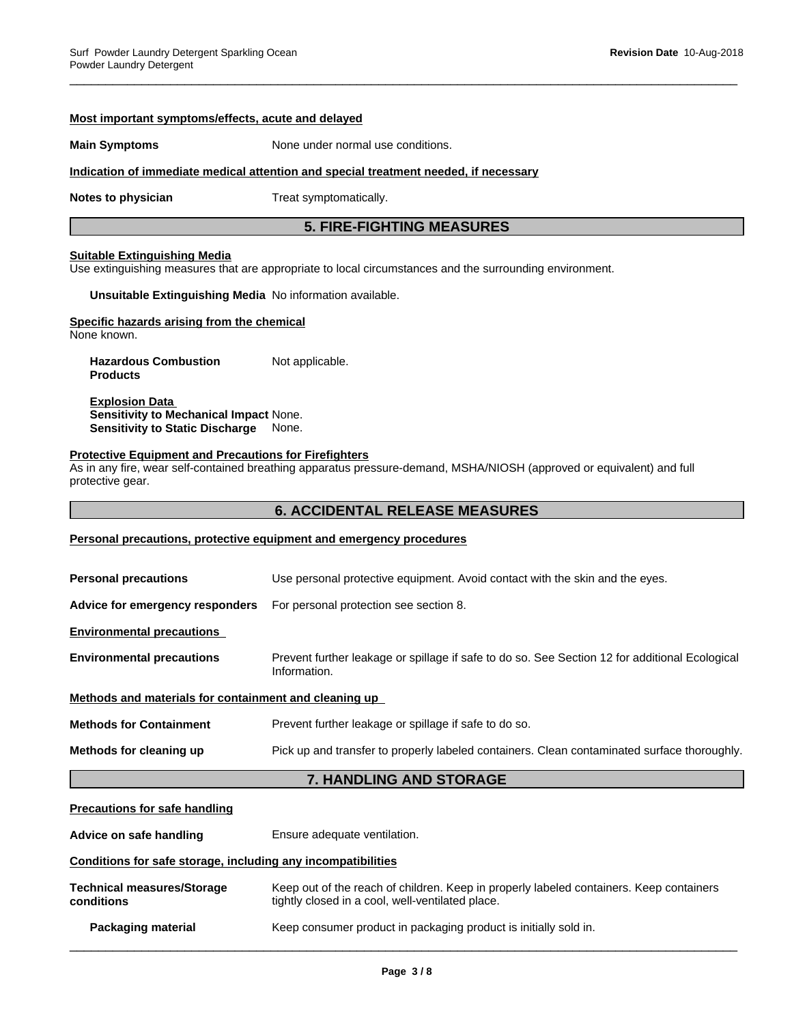# **Most important symptoms/effects, acute and delayed Main Symptoms** None under normal use conditions. **Indication of immediate medical attention and special treatment needed, if necessary Notes to physician** Treat symptomatically. **5. FIRE-FIGHTING MEASURES Suitable Extinguishing Media** Use extinguishing measures that are appropriate to local circumstances and the surrounding environment. **Unsuitable Extinguishing Media** No information available. **Specific hazards arising from the chemical** None known. **Hazardous Combustion Products** Not applicable. **Explosion Data Sensitivity to Mechanical Impact** None. **Sensitivity to Static Discharge** None. **Protective Equipment and Precautions for Firefighters** As in any fire, wear self-contained breathing apparatus pressure-demand, MSHA/NIOSH (approved or equivalent) and full protective gear. **6. ACCIDENTAL RELEASE MEASURES Personal precautions, protective equipment and emergency procedures Personal precautions** Use personal protective equipment. Avoid contact with the skin and the eyes. **Advice for emergency responders** For personal protection see section 8. **Environmental precautions Environmental precautions** Prevent further leakage or spillage if safe to do so. See Section 12 for additional Ecological Information. **Methods and materials for containment and cleaning up Methods for Containment** Prevent further leakage or spillage if safe to do so. **Methods for cleaning up** Pick up and transfer to properly labeled containers. Clean contaminated surface thoroughly. **7. HANDLING AND STORAGE Precautions for safe handling Advice on safe handling** Ensure adequate ventilation.

 $\overline{\phantom{a}}$  ,  $\overline{\phantom{a}}$  ,  $\overline{\phantom{a}}$  ,  $\overline{\phantom{a}}$  ,  $\overline{\phantom{a}}$  ,  $\overline{\phantom{a}}$  ,  $\overline{\phantom{a}}$  ,  $\overline{\phantom{a}}$  ,  $\overline{\phantom{a}}$  ,  $\overline{\phantom{a}}$  ,  $\overline{\phantom{a}}$  ,  $\overline{\phantom{a}}$  ,  $\overline{\phantom{a}}$  ,  $\overline{\phantom{a}}$  ,  $\overline{\phantom{a}}$  ,  $\overline{\phantom{a}}$ 

#### **Conditions for safe storage, including any incompatibilities**

| Technical measures/Storage | Keep out of the reach of children. Keep in properly labeled containers. Keep containers |
|----------------------------|-----------------------------------------------------------------------------------------|
| conditions                 | tightly closed in a cool, well-ventilated place.                                        |
| Packaging material         | Keep consumer product in packaging product is initially sold in.                        |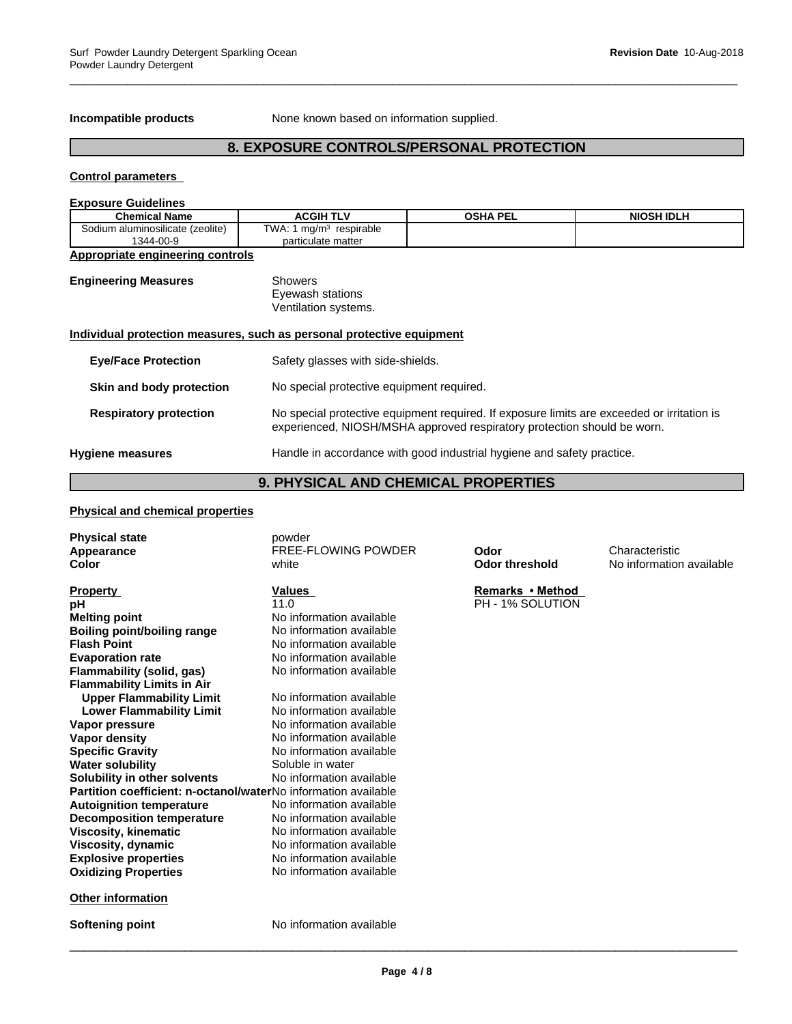**Incompatible products** None known based on information supplied.

#### **8. EXPOSURE CONTROLS/PERSONAL PROTECTION**

 $\overline{\phantom{a}}$  ,  $\overline{\phantom{a}}$  ,  $\overline{\phantom{a}}$  ,  $\overline{\phantom{a}}$  ,  $\overline{\phantom{a}}$  ,  $\overline{\phantom{a}}$  ,  $\overline{\phantom{a}}$  ,  $\overline{\phantom{a}}$  ,  $\overline{\phantom{a}}$  ,  $\overline{\phantom{a}}$  ,  $\overline{\phantom{a}}$  ,  $\overline{\phantom{a}}$  ,  $\overline{\phantom{a}}$  ,  $\overline{\phantom{a}}$  ,  $\overline{\phantom{a}}$  ,  $\overline{\phantom{a}}$ 

#### **Control parameters**

| <b>Exposure Guidelines</b>                    |                                                                        |                                                                                                                                                                       |                   |  |
|-----------------------------------------------|------------------------------------------------------------------------|-----------------------------------------------------------------------------------------------------------------------------------------------------------------------|-------------------|--|
| <b>Chemical Name</b>                          | <b>ACGIH TLV</b>                                                       | <b>OSHA PEL</b>                                                                                                                                                       | <b>NIOSH IDLH</b> |  |
| Sodium aluminosilicate (zeolite)<br>1344-00-9 | TWA: 1 mg/m <sup>3</sup> respirable<br>particulate matter              |                                                                                                                                                                       |                   |  |
| <b>Appropriate engineering controls</b>       |                                                                        |                                                                                                                                                                       |                   |  |
| <b>Engineering Measures</b>                   | Showers<br>Eyewash stations<br>Ventilation systems.                    |                                                                                                                                                                       |                   |  |
|                                               | Individual protection measures, such as personal protective equipment  |                                                                                                                                                                       |                   |  |
| <b>Eye/Face Protection</b>                    |                                                                        | Safety glasses with side-shields.                                                                                                                                     |                   |  |
| Skin and body protection                      |                                                                        | No special protective equipment required.                                                                                                                             |                   |  |
| <b>Respiratory protection</b>                 |                                                                        | No special protective equipment required. If exposure limits are exceeded or irritation is<br>experienced, NIOSH/MSHA approved respiratory protection should be worn. |                   |  |
| <b>Hygiene measures</b>                       | Handle in accordance with good industrial hygiene and safety practice. |                                                                                                                                                                       |                   |  |

## **9. PHYSICAL AND CHEMICAL PROPERTIES**

#### **Physical and chemical properties**

| <b>Physical state</b>                                          | powder                   |                       |                          |
|----------------------------------------------------------------|--------------------------|-----------------------|--------------------------|
| Appearance                                                     | FREE-FLOWING POWDER      | Odor                  | Characteristic           |
| Color                                                          | white                    | <b>Odor threshold</b> | No information available |
|                                                                |                          |                       |                          |
| <b>Property</b>                                                | Values                   | Remarks • Method      |                          |
| рH                                                             | 11.0                     | PH - 1% SOLUTION      |                          |
| <b>Melting point</b>                                           | No information available |                       |                          |
| <b>Boiling point/boiling range</b>                             | No information available |                       |                          |
| <b>Flash Point</b>                                             | No information available |                       |                          |
| <b>Evaporation rate</b>                                        | No information available |                       |                          |
| Flammability (solid, gas)                                      | No information available |                       |                          |
| <b>Flammability Limits in Air</b>                              |                          |                       |                          |
| <b>Upper Flammability Limit</b>                                | No information available |                       |                          |
| <b>Lower Flammability Limit</b>                                | No information available |                       |                          |
| Vapor pressure                                                 | No information available |                       |                          |
| Vapor density                                                  | No information available |                       |                          |
| <b>Specific Gravity</b>                                        | No information available |                       |                          |
| <b>Water solubility</b>                                        | Soluble in water         |                       |                          |
| Solubility in other solvents                                   | No information available |                       |                          |
| Partition coefficient: n-octanol/waterNo information available |                          |                       |                          |
| <b>Autoignition temperature</b>                                | No information available |                       |                          |
| <b>Decomposition temperature</b>                               | No information available |                       |                          |
| <b>Viscosity, kinematic</b>                                    | No information available |                       |                          |
| Viscosity, dynamic                                             | No information available |                       |                          |
| <b>Explosive properties</b>                                    | No information available |                       |                          |
| <b>Oxidizing Properties</b>                                    | No information available |                       |                          |
| <b>Other information</b>                                       |                          |                       |                          |
| Softening point                                                | No information available |                       |                          |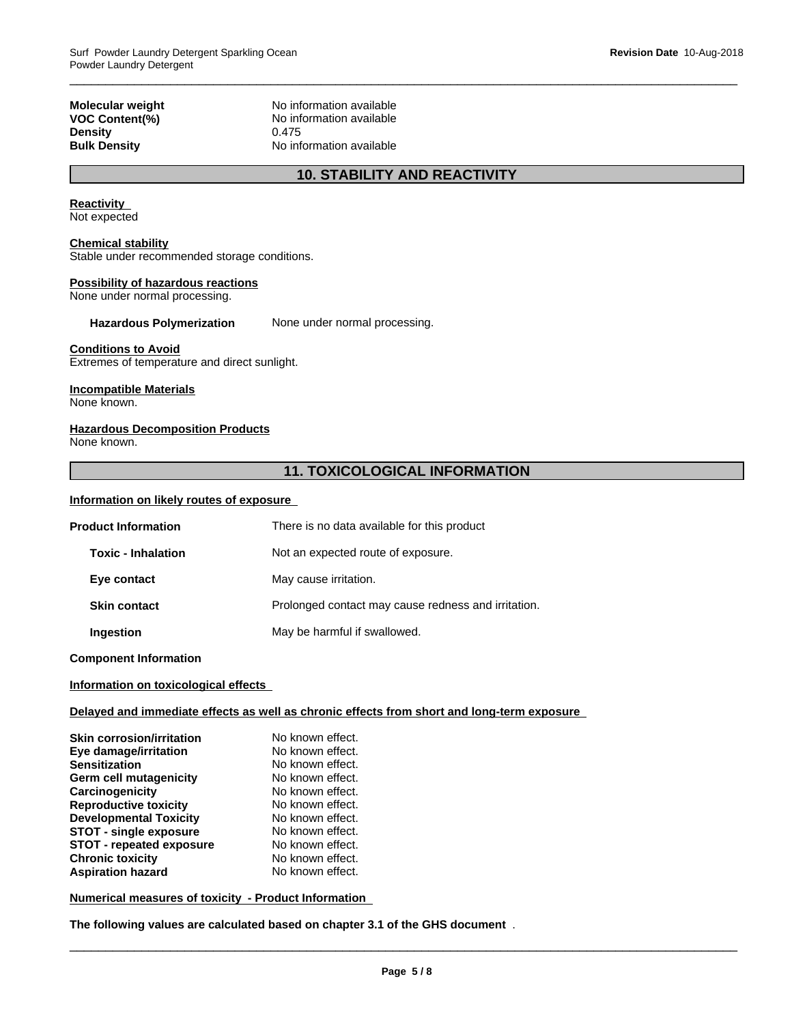# **Density**

**Molecular weight** No information available **VOC Content(%)**<br> **Density**<br>  $0.475$ **Bulk Density** No information available

## **10. STABILITY AND REACTIVITY**

 $\overline{\phantom{a}}$  ,  $\overline{\phantom{a}}$  ,  $\overline{\phantom{a}}$  ,  $\overline{\phantom{a}}$  ,  $\overline{\phantom{a}}$  ,  $\overline{\phantom{a}}$  ,  $\overline{\phantom{a}}$  ,  $\overline{\phantom{a}}$  ,  $\overline{\phantom{a}}$  ,  $\overline{\phantom{a}}$  ,  $\overline{\phantom{a}}$  ,  $\overline{\phantom{a}}$  ,  $\overline{\phantom{a}}$  ,  $\overline{\phantom{a}}$  ,  $\overline{\phantom{a}}$  ,  $\overline{\phantom{a}}$ 

#### **Reactivity**

Not expected

#### **Chemical stability**

Stable under recommended storage conditions.

#### **Possibility of hazardous reactions**

None under normal processing.

#### **Hazardous Polymerization** None under normal processing.

#### **Conditions to Avoid**

Extremes of temperature and direct sunlight.

#### **Incompatible Materials**

None known.

#### **Hazardous Decomposition Products**

None known.

## **11. TOXICOLOGICAL INFORMATION**

#### **Information on likely routes of exposure**

| <b>Product Information</b><br>There is no data available for this product |                                                     |
|---------------------------------------------------------------------------|-----------------------------------------------------|
| <b>Toxic - Inhalation</b>                                                 | Not an expected route of exposure.                  |
| Eye contact                                                               | May cause irritation.                               |
| <b>Skin contact</b>                                                       | Prolonged contact may cause redness and irritation. |
| Ingestion                                                                 | May be harmful if swallowed.                        |

**Component Information**

#### **Information on toxicological effects**

#### **Delayed and immediate effects as well as chronic effects from short and long-term exposure**

| <b>Skin corrosion/irritation</b> | No known effect. |
|----------------------------------|------------------|
| Eye damage/irritation            | No known effect. |
| <b>Sensitization</b>             | No known effect. |
| Germ cell mutagenicity           | No known effect. |
| Carcinogenicity                  | No known effect. |
| <b>Reproductive toxicity</b>     | No known effect. |
| <b>Developmental Toxicity</b>    | No known effect. |
| <b>STOT - single exposure</b>    | No known effect. |
| <b>STOT - repeated exposure</b>  | No known effect. |
| <b>Chronic toxicity</b>          | No known effect. |
| <b>Aspiration hazard</b>         | No known effect. |

**Numerical measures of toxicity - Product Information**

**The following values are calculated based on chapter 3.1 of the GHS document** .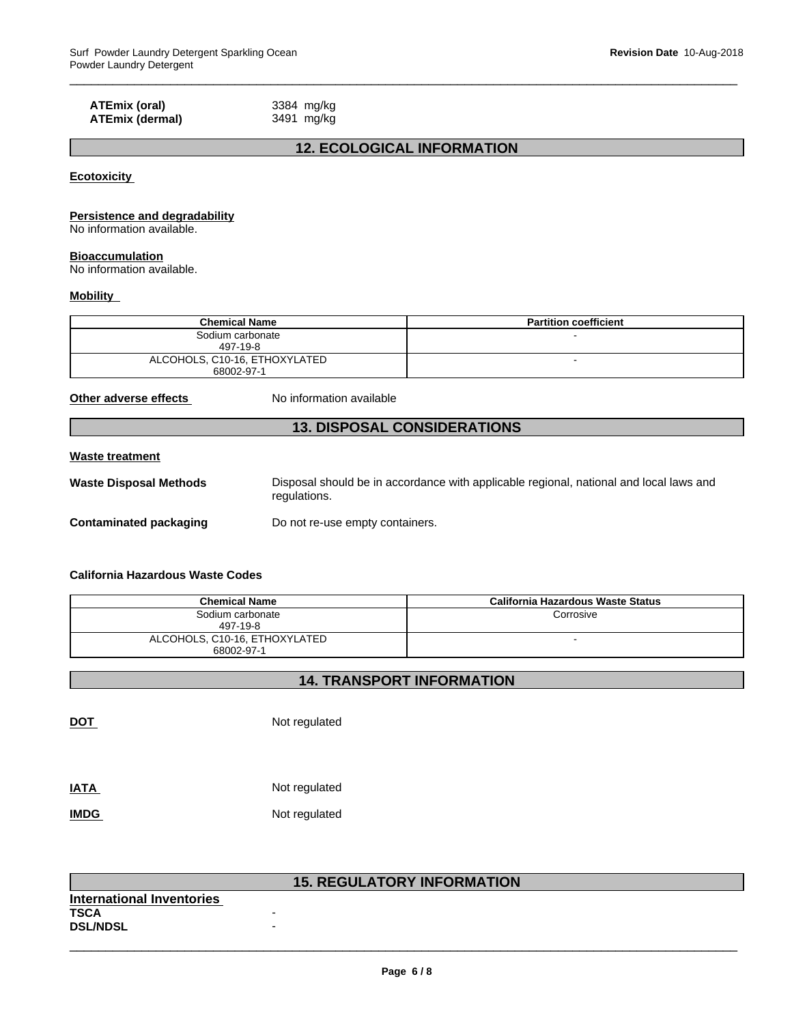#### **ATEmix (oral)** 3384 mg/kg<br> **ATEmix (dermal)** 3491 mg/kg **ATEmix** (dermal)

#### **12. ECOLOGICAL INFORMATION**

 $\overline{\phantom{a}}$  ,  $\overline{\phantom{a}}$  ,  $\overline{\phantom{a}}$  ,  $\overline{\phantom{a}}$  ,  $\overline{\phantom{a}}$  ,  $\overline{\phantom{a}}$  ,  $\overline{\phantom{a}}$  ,  $\overline{\phantom{a}}$  ,  $\overline{\phantom{a}}$  ,  $\overline{\phantom{a}}$  ,  $\overline{\phantom{a}}$  ,  $\overline{\phantom{a}}$  ,  $\overline{\phantom{a}}$  ,  $\overline{\phantom{a}}$  ,  $\overline{\phantom{a}}$  ,  $\overline{\phantom{a}}$ 

**Ecotoxicity** 

#### **Persistence and degradability**

No information available.

#### **Bioaccumulation**

No information available.

#### **Mobility**

| <b>Chemical Name</b>          | <b>Partition coefficient</b> |
|-------------------------------|------------------------------|
| Sodium carbonate              | -                            |
| 497-19-8                      |                              |
| ALCOHOLS, C10-16, ETHOXYLATED |                              |
| 68002-97-1                    |                              |

**Other adverse effects** No information available

#### **13. DISPOSAL CONSIDERATIONS**

#### **Waste treatment**

| <b>Waste Disposal Methods</b> | Disposal should be in accordance with applicable regional, national and local laws and<br>regulations. |
|-------------------------------|--------------------------------------------------------------------------------------------------------|
| Contaminated packaging        | Do not re-use empty containers.                                                                        |

#### **California Hazardous Waste Codes**

| <b>Chemical Name</b>                        | California Hazardous Waste Status |
|---------------------------------------------|-----------------------------------|
| Sodium carbonate<br>497-19-8                | Corrosive                         |
| ALCOHOLS, C10-16, ETHOXYLATED<br>68002-97-1 |                                   |

#### **14. TRANSPORT INFORMATION**

**DOT** Not regulated

| <b>IATA</b> | Not regulated |
|-------------|---------------|
| <b>IMDG</b> | Not regulated |

|                           | <b>15. REGULATORY INFORMATION</b> |
|---------------------------|-----------------------------------|
| International Inventories |                                   |
| <b>TSCA</b>               | $\overline{\phantom{0}}$          |
| <b>DSL/NDSL</b>           | $\overline{\phantom{0}}$          |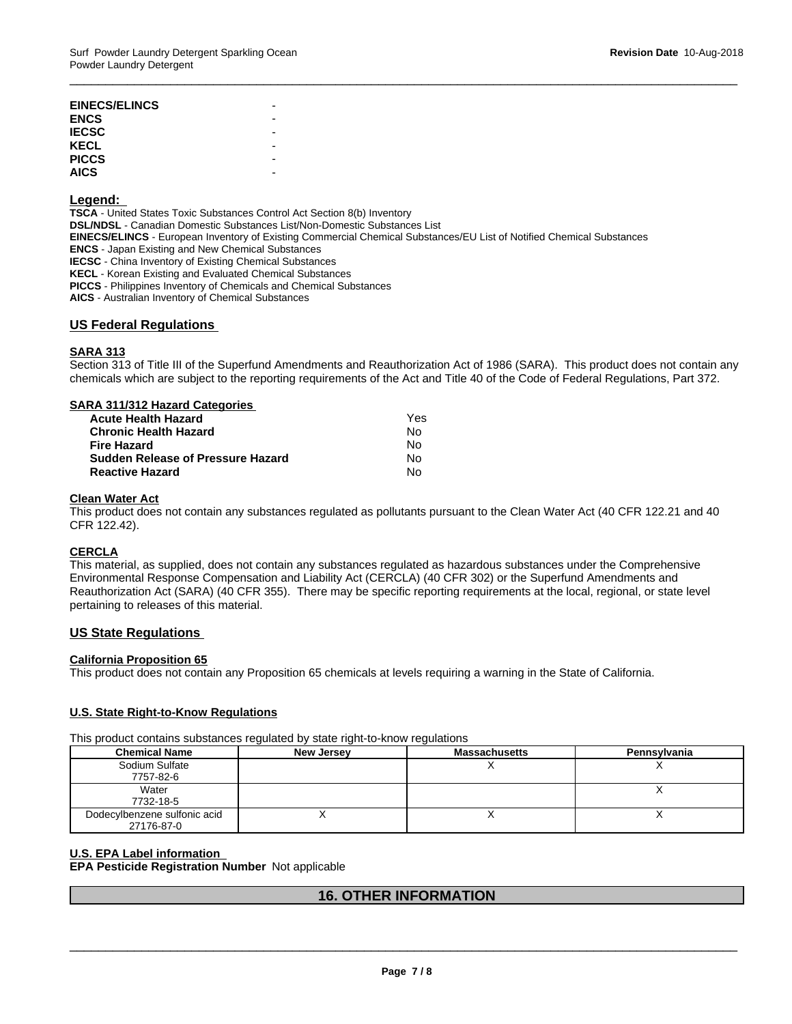#### **Legend:**

**TSCA** - United States Toxic Substances Control Act Section 8(b) Inventory **DSL/NDSL** - Canadian Domestic Substances List/Non-Domestic Substances List **EINECS/ELINCS** - European Inventory of Existing Commercial Chemical Substances/EU List of Notified Chemical Substances **ENCS** - Japan Existing and New Chemical Substances **IECSC** - China Inventory of Existing Chemical Substances **KECL** - Korean Existing and Evaluated Chemical Substances **PICCS** - Philippines Inventory of Chemicals and Chemical Substances **AICS** - Australian Inventory of Chemical Substances

#### **US Federal Regulations**

#### **SARA 313**

Section 313 of Title III of the Superfund Amendments and Reauthorization Act of 1986 (SARA). This product does not contain any chemicals which are subject to the reporting requirements of the Act and Title 40 of the Code of Federal Regulations, Part 372.

 $\overline{\phantom{a}}$  ,  $\overline{\phantom{a}}$  ,  $\overline{\phantom{a}}$  ,  $\overline{\phantom{a}}$  ,  $\overline{\phantom{a}}$  ,  $\overline{\phantom{a}}$  ,  $\overline{\phantom{a}}$  ,  $\overline{\phantom{a}}$  ,  $\overline{\phantom{a}}$  ,  $\overline{\phantom{a}}$  ,  $\overline{\phantom{a}}$  ,  $\overline{\phantom{a}}$  ,  $\overline{\phantom{a}}$  ,  $\overline{\phantom{a}}$  ,  $\overline{\phantom{a}}$  ,  $\overline{\phantom{a}}$ 

#### **SARA 311/312 Hazard Categories**

| <b>Acute Health Hazard</b>               | Yes |
|------------------------------------------|-----|
| <b>Chronic Health Hazard</b>             | N٥  |
| <b>Fire Hazard</b>                       | N٥  |
| <b>Sudden Release of Pressure Hazard</b> | No  |
| <b>Reactive Hazard</b>                   | No  |

#### **Clean Water Act**

This product does not contain any substances regulated as pollutants pursuant to the Clean Water Act (40 CFR 122.21 and 40 CFR 122.42).

#### **CERCLA**

This material, as supplied, does not contain any substances regulated as hazardous substances under the Comprehensive Environmental Response Compensation and Liability Act (CERCLA) (40 CFR 302) or the Superfund Amendments and Reauthorization Act (SARA) (40 CFR 355). There may be specific reporting requirements at the local, regional, or state level pertaining to releases of this material.

#### **US State Regulations**

#### **California Proposition 65**

This product does not contain any Proposition 65 chemicals at levels requiring a warning in the State of California.

#### **U.S. State Right-to-Know Regulations**

This product contains substances regulated by state right-to-know regulations

| <b>Chemical Name</b>         | <b>New Jersey</b> | <b>Massachusetts</b> | Pennsylvania |
|------------------------------|-------------------|----------------------|--------------|
| Sodium Sulfate               |                   |                      |              |
| 7757-82-6                    |                   |                      |              |
| Water                        |                   |                      |              |
| 7732-18-5                    |                   |                      |              |
| Dodecylbenzene sulfonic acid |                   |                      |              |
| 27176-87-0                   |                   |                      |              |

#### **U.S. EPA Label information**

**EPA Pesticide Registration Number** Not applicable

#### **16. OTHER INFORMATION**